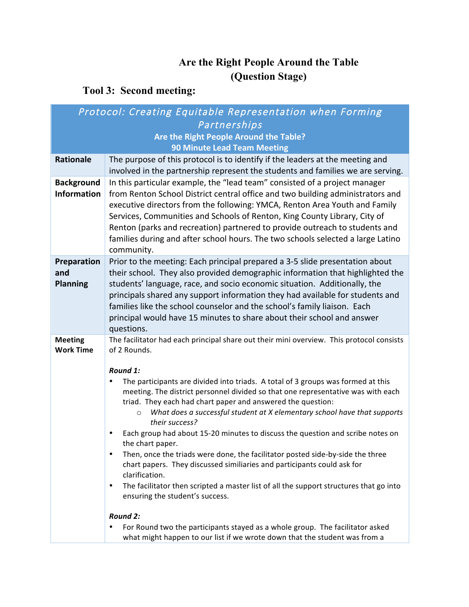## **Are the Right People Around the Table (Question Stage)**

## **Tool 3: Second meeting:**

| Protocol: Creating Equitable Representation when Forming |                                                                                                                                                               |  |
|----------------------------------------------------------|---------------------------------------------------------------------------------------------------------------------------------------------------------------|--|
| Partnerships                                             |                                                                                                                                                               |  |
| Are the Right People Around the Table?                   |                                                                                                                                                               |  |
| <b>90 Minute Lead Team Meeting</b>                       |                                                                                                                                                               |  |
| <b>Rationale</b>                                         | The purpose of this protocol is to identify if the leaders at the meeting and                                                                                 |  |
|                                                          | involved in the partnership represent the students and families we are serving.                                                                               |  |
| <b>Background</b>                                        | In this particular example, the "lead team" consisted of a project manager                                                                                    |  |
| <b>Information</b>                                       | from Renton School District central office and two building administrators and                                                                                |  |
|                                                          | executive directors from the following: YMCA, Renton Area Youth and Family                                                                                    |  |
|                                                          | Services, Communities and Schools of Renton, King County Library, City of                                                                                     |  |
|                                                          | Renton (parks and recreation) partnered to provide outreach to students and                                                                                   |  |
|                                                          | families during and after school hours. The two schools selected a large Latino                                                                               |  |
|                                                          | community.                                                                                                                                                    |  |
| Preparation<br>and                                       | Prior to the meeting: Each principal prepared a 3-5 slide presentation about<br>their school. They also provided demographic information that highlighted the |  |
| <b>Planning</b>                                          | students' language, race, and socio economic situation. Additionally, the                                                                                     |  |
|                                                          | principals shared any support information they had available for students and                                                                                 |  |
|                                                          | families like the school counselor and the school's family liaison. Each                                                                                      |  |
|                                                          | principal would have 15 minutes to share about their school and answer                                                                                        |  |
|                                                          | questions.                                                                                                                                                    |  |
| <b>Meeting</b>                                           | The facilitator had each principal share out their mini overview. This protocol consists                                                                      |  |
| <b>Work Time</b>                                         | of 2 Rounds.                                                                                                                                                  |  |
|                                                          |                                                                                                                                                               |  |
|                                                          | Round 1:<br>The participants are divided into triads. A total of 3 groups was formed at this<br>$\bullet$                                                     |  |
|                                                          | meeting. The district personnel divided so that one representative was with each                                                                              |  |
|                                                          | triad. They each had chart paper and answered the question:                                                                                                   |  |
|                                                          | What does a successful student at X elementary school have that supports<br>$\circ$                                                                           |  |
|                                                          | their success?                                                                                                                                                |  |
|                                                          | Each group had about 15-20 minutes to discuss the question and scribe notes on<br>$\bullet$                                                                   |  |
|                                                          | the chart paper.<br>Then, once the triads were done, the facilitator posted side-by-side the three                                                            |  |
|                                                          | chart papers. They discussed similiaries and participants could ask for                                                                                       |  |
|                                                          | clarification.                                                                                                                                                |  |
|                                                          | The facilitator then scripted a master list of all the support structures that go into<br>$\bullet$                                                           |  |
|                                                          | ensuring the student's success.                                                                                                                               |  |
|                                                          |                                                                                                                                                               |  |
|                                                          | Round 2:<br>$\bullet$                                                                                                                                         |  |
|                                                          | For Round two the participants stayed as a whole group. The facilitator asked<br>what might happen to our list if we wrote down that the student was from a   |  |